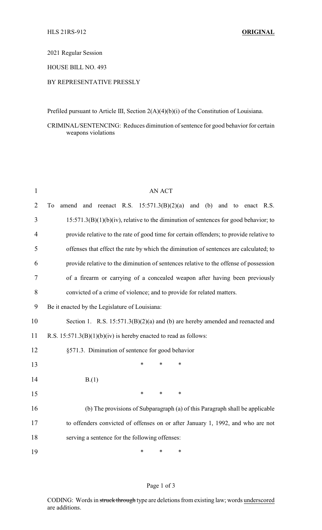2021 Regular Session

HOUSE BILL NO. 493

## BY REPRESENTATIVE PRESSLY

Prefiled pursuant to Article III, Section 2(A)(4)(b)(i) of the Constitution of Louisiana.

CRIMINAL/SENTENCING: Reduces diminution of sentence for good behavior for certain weapons violations

| $\mathbf{1}$   | <b>AN ACT</b>                                                                           |  |  |  |  |
|----------------|-----------------------------------------------------------------------------------------|--|--|--|--|
| $\overline{2}$ | amend and reenact R.S. $15:571.3(B)(2)(a)$ and (b) and to enact R.S.<br>To              |  |  |  |  |
| 3              | $15:571.3(B)(1)(b)(iv)$ , relative to the diminution of sentences for good behavior; to |  |  |  |  |
| $\overline{4}$ | provide relative to the rate of good time for certain offenders; to provide relative to |  |  |  |  |
| 5              | offenses that effect the rate by which the diminution of sentences are calculated; to   |  |  |  |  |
| 6              | provide relative to the diminution of sentences relative to the offense of possession   |  |  |  |  |
| 7              | of a firearm or carrying of a concealed weapon after having been previously             |  |  |  |  |
| 8              | convicted of a crime of violence; and to provide for related matters.                   |  |  |  |  |
| 9              | Be it enacted by the Legislature of Louisiana:                                          |  |  |  |  |
| 10             | Section 1. R.S. $15:571.3(B)(2)(a)$ and (b) are hereby amended and reenacted and        |  |  |  |  |
| 11             | R.S. $15:571.3(B)(1)(b)(iv)$ is hereby enacted to read as follows:                      |  |  |  |  |
| 12             | §571.3. Diminution of sentence for good behavior                                        |  |  |  |  |
| 13             | $\ast$<br>*<br>*                                                                        |  |  |  |  |
| 14             | B(1)                                                                                    |  |  |  |  |
| 15             | $\ast$<br>$\ast$<br>$\ast$                                                              |  |  |  |  |
| 16             | (b) The provisions of Subparagraph (a) of this Paragraph shall be applicable            |  |  |  |  |
| 17             | to offenders convicted of offenses on or after January 1, 1992, and who are not         |  |  |  |  |
| 18             | serving a sentence for the following offenses:                                          |  |  |  |  |
| 19             | $\ast$<br>$\ast$<br>*                                                                   |  |  |  |  |

## Page 1 of 3

CODING: Words in struck through type are deletions from existing law; words underscored are additions.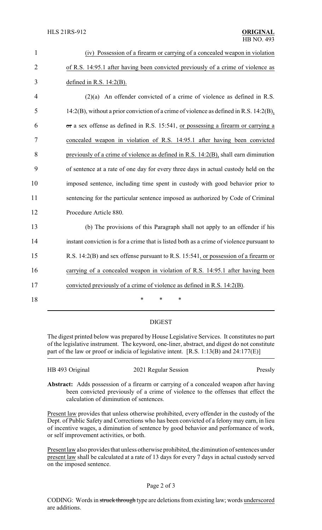| $\mathbf{1}$   | (iv) Possession of a firearm or carrying of a concealed weapon in violation              |
|----------------|------------------------------------------------------------------------------------------|
| $\overline{2}$ | of R.S. 14:95.1 after having been convicted previously of a crime of violence as         |
| 3              | defined in R.S. $14:2(B)$ .                                                              |
| $\overline{4}$ | $(2)(a)$ An offender convicted of a crime of violence as defined in R.S.                 |
| 5              | 14:2(B), without a prior conviction of a crime of violence as defined in R.S. 14:2(B),   |
| 6              | or a sex offense as defined in R.S. 15:541, or possessing a firearm or carrying a        |
| 7              | concealed weapon in violation of R.S. 14:95.1 after having been convicted                |
| 8              | previously of a crime of violence as defined in R.S. 14:2(B), shall earn diminution      |
| 9              | of sentence at a rate of one day for every three days in actual custody held on the      |
| 10             | imposed sentence, including time spent in custody with good behavior prior to            |
| 11             | sentencing for the particular sentence imposed as authorized by Code of Criminal         |
| 12             | Procedure Article 880.                                                                   |
| 13             | (b) The provisions of this Paragraph shall not apply to an offender if his               |
| 14             | instant conviction is for a crime that is listed both as a crime of violence pursuant to |
| 15             | R.S. 14:2(B) and sex offense pursuant to R.S. 15:541, or possession of a firearm or      |
| 16             | carrying of a concealed weapon in violation of R.S. 14:95.1 after having been            |
| 17             | convicted previously of a crime of violence as defined in R.S. 14:2(B).                  |
| 18             | *<br>*<br>$\ast$                                                                         |

## DIGEST

The digest printed below was prepared by House Legislative Services. It constitutes no part of the legislative instrument. The keyword, one-liner, abstract, and digest do not constitute part of the law or proof or indicia of legislative intent. [R.S. 1:13(B) and 24:177(E)]

| HB 493 Original | 2021 Regular Session | Pressly |
|-----------------|----------------------|---------|
|                 |                      |         |

**Abstract:** Adds possession of a firearm or carrying of a concealed weapon after having been convicted previously of a crime of violence to the offenses that effect the calculation of diminution of sentences.

Present law provides that unless otherwise prohibited, every offender in the custody of the Dept. of Public Safety and Corrections who has been convicted of a felony may earn, in lieu of incentive wages, a diminution of sentence by good behavior and performance of work, or self improvement activities, or both.

Present law also provides that unless otherwise prohibited, the diminution of sentences under present law shall be calculated at a rate of 13 days for every 7 days in actual custody served on the imposed sentence.